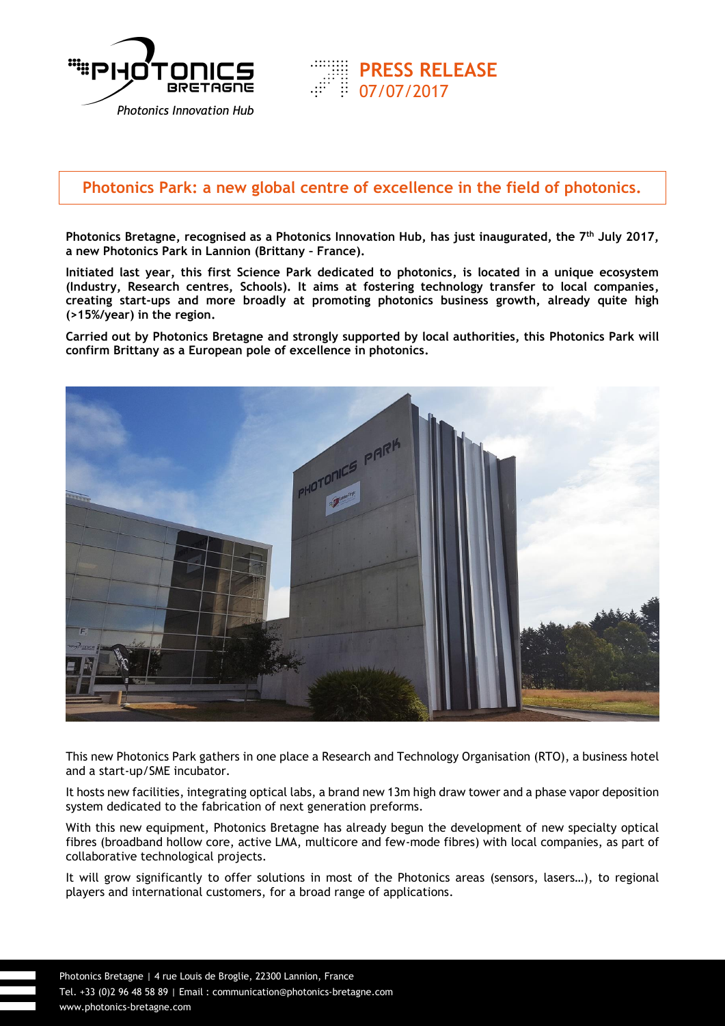

## **Photonics Park: a new global centre of excellence in the field of photonics.**

07/07/2017

**PRESS RELEASE**

**Photonics Bretagne, recognised as a Photonics Innovation Hub, has just inaugurated, the 7th July 2017, a new Photonics Park in Lannion (Brittany – France).**

**Initiated last year, this first Science Park dedicated to photonics, is located in a unique ecosystem (Industry, Research centres, Schools). It aims at fostering technology transfer to local companies, creating start-ups and more broadly at promoting photonics business growth, already quite high (>15%/year) in the region.**

**Carried out by Photonics Bretagne and strongly supported by local authorities, this Photonics Park will confirm Brittany as a European pole of excellence in photonics.**



This new Photonics Park gathers in one place a Research and Technology Organisation (RTO), a business hotel and a start-up/SME incubator.

It hosts new facilities, integrating optical labs, a brand new 13m high draw tower and a phase vapor deposition system dedicated to the fabrication of next generation preforms.

With this new equipment, Photonics Bretagne has already begun the development of new specialty optical fibres (broadband hollow core, active LMA, multicore and few-mode fibres) with local companies, as part of collaborative technological projects.

It will grow significantly to offer solutions in most of the Photonics areas (sensors, lasers…), to regional players and international customers, for a broad range of applications.